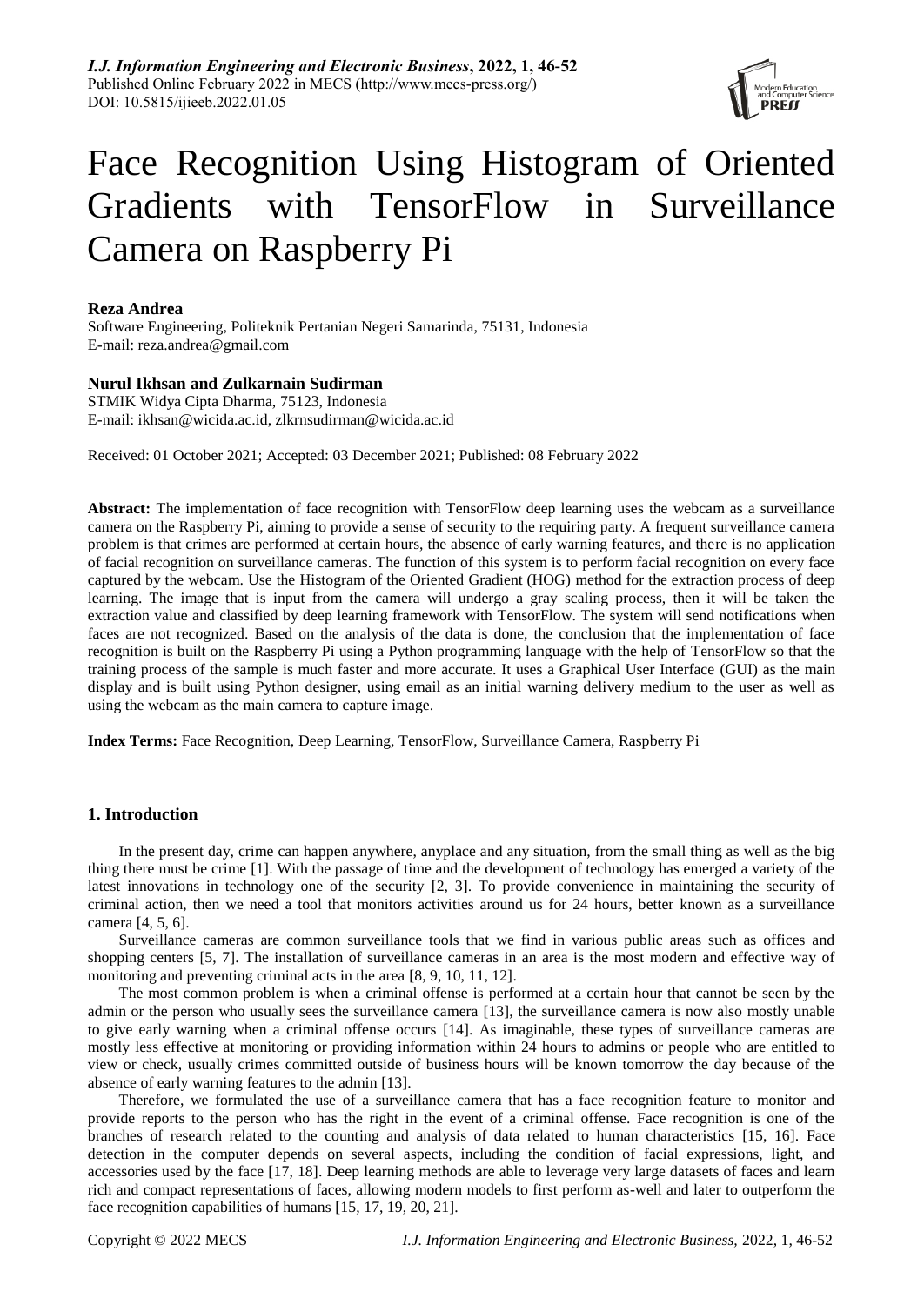

# Face Recognition Using Histogram of Oriented Gradients with TensorFlow in Surveillance Camera on Raspberry Pi

## **Reza Andrea**

Software Engineering, Politeknik Pertanian Negeri Samarinda, 75131, Indonesia E-mail: reza.andrea@gmail.com

# **Nurul Ikhsan and Zulkarnain Sudirman**

STMIK Widya Cipta Dharma, 75123, Indonesia E-mail: ikhsan@wicida.ac.id, zlkrnsudirman@wicida.ac.id

Received: 01 October 2021; Accepted: 03 December 2021; Published: 08 February 2022

**Abstract:** The implementation of face recognition with TensorFlow deep learning uses the webcam as a surveillance camera on the Raspberry Pi, aiming to provide a sense of security to the requiring party. A frequent surveillance camera problem is that crimes are performed at certain hours, the absence of early warning features, and there is no application of facial recognition on surveillance cameras. The function of this system is to perform facial recognition on every face captured by the webcam. Use the Histogram of the Oriented Gradient (HOG) method for the extraction process of deep learning. The image that is input from the camera will undergo a gray scaling process, then it will be taken the extraction value and classified by deep learning framework with TensorFlow. The system will send notifications when faces are not recognized. Based on the analysis of the data is done, the conclusion that the implementation of face recognition is built on the Raspberry Pi using a Python programming language with the help of TensorFlow so that the training process of the sample is much faster and more accurate. It uses a Graphical User Interface (GUI) as the main display and is built using Python designer, using email as an initial warning delivery medium to the user as well as using the webcam as the main camera to capture image.

**Index Terms:** Face Recognition, Deep Learning, TensorFlow, Surveillance Camera, Raspberry Pi

# **1. Introduction**

In the present day, crime can happen anywhere, anyplace and any situation, from the small thing as well as the big thing there must be crime [1]. With the passage of time and the development of technology has emerged a variety of the latest innovations in technology one of the security [2, 3]. To provide convenience in maintaining the security of criminal action, then we need a tool that monitors activities around us for 24 hours, better known as a surveillance camera [4, 5, 6].

Surveillance cameras are common surveillance tools that we find in various public areas such as offices and shopping centers [5, 7]. The installation of surveillance cameras in an area is the most modern and effective way of monitoring and preventing criminal acts in the area [8, 9, 10, 11, 12].

The most common problem is when a criminal offense is performed at a certain hour that cannot be seen by the admin or the person who usually sees the surveillance camera [13], the surveillance camera is now also mostly unable to give early warning when a criminal offense occurs [14]. As imaginable, these types of surveillance cameras are mostly less effective at monitoring or providing information within 24 hours to admins or people who are entitled to view or check, usually crimes committed outside of business hours will be known tomorrow the day because of the absence of early warning features to the admin [13].

Therefore, we formulated the use of a surveillance camera that has a face recognition feature to monitor and provide reports to the person who has the right in the event of a criminal offense. Face recognition is one of the branches of research related to the counting and analysis of data related to human characteristics [15, 16]. Face detection in the computer depends on several aspects, including the condition of facial expressions, light, and accessories used by the face [17, 18]. Deep learning methods are able to leverage very large datasets of faces and learn rich and compact representations of faces, allowing modern models to first perform as-well and later to outperform the face recognition capabilities of humans [15, 17, 19, 20, 21].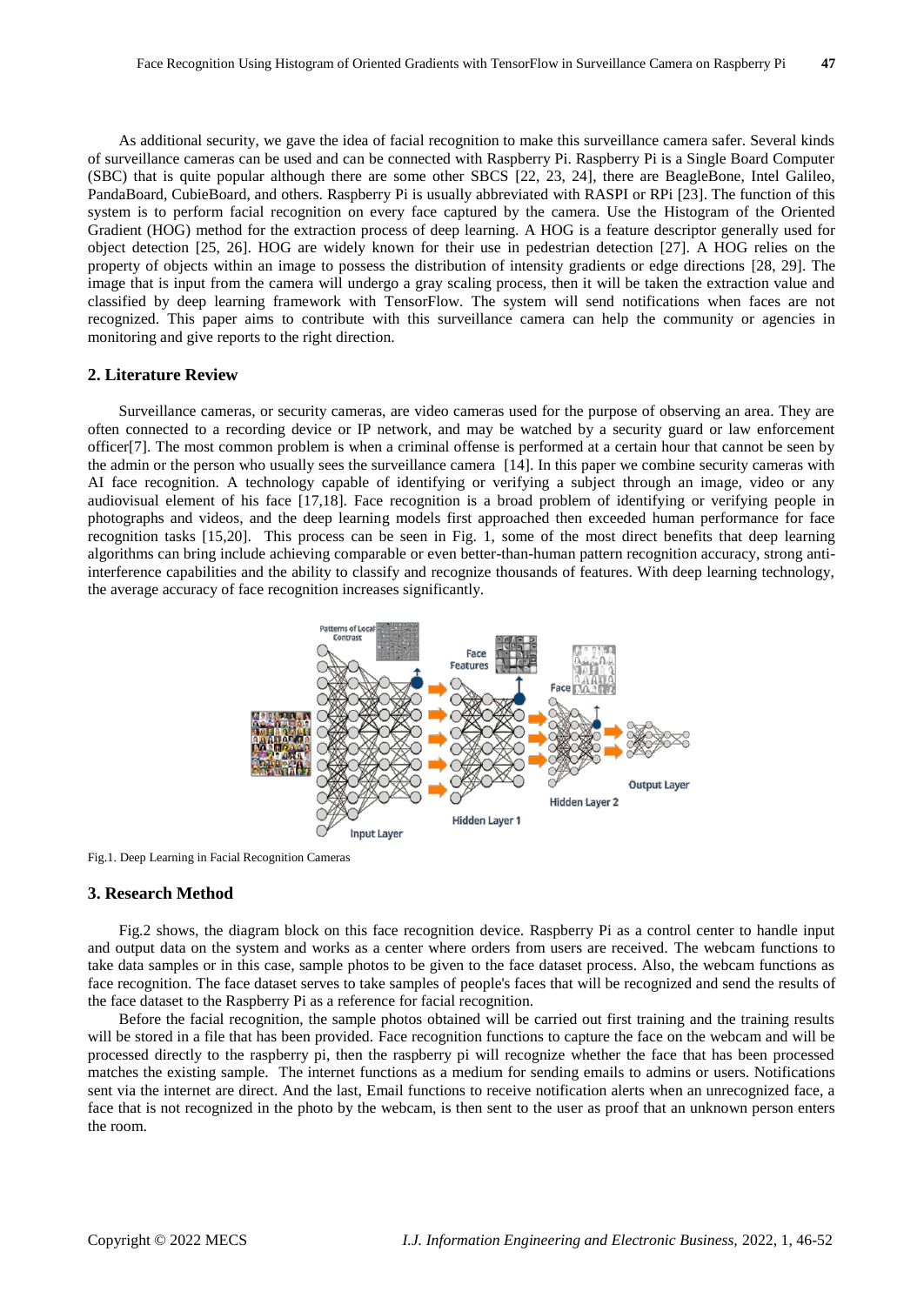As additional security, we gave the idea of facial recognition to make this surveillance camera safer. Several kinds of surveillance cameras can be used and can be connected with Raspberry Pi. Raspberry Pi is a Single Board Computer (SBC) that is quite popular although there are some other SBCS [22, 23, 24], there are BeagleBone, Intel Galileo, PandaBoard, CubieBoard, and others. Raspberry Pi is usually abbreviated with RASPI or RPi [23]. The function of this system is to perform facial recognition on every face captured by the camera. Use the Histogram of the Oriented Gradient (HOG) method for the extraction process of deep learning. A HOG is a feature descriptor generally used for object detection [25, 26]. HOG are widely known for their use in pedestrian detection [27]. A HOG relies on the property of objects within an image to possess the distribution of intensity gradients or edge directions [28, 29]. The image that is input from the camera will undergo a gray scaling process, then it will be taken the extraction value and classified by deep learning framework with TensorFlow. The system will send notifications when faces are not recognized. This paper aims to contribute with this surveillance camera can help the community or agencies in monitoring and give reports to the right direction.

### **2. Literature Review**

Surveillance cameras, or security cameras, are video cameras used for the purpose of observing an area. They are often connected to a recording device or IP network, and may be watched by a security guard or law enforcement officer[7]. The most common problem is when a criminal offense is performed at a certain hour that cannot be seen by the admin or the person who usually sees the surveillance camera [14]. In this paper we combine security cameras with AI face recognition. A technology capable of identifying or verifying a subject through an image, video or any audiovisual element of his face [17,18]. Face recognition is a broad problem of identifying or verifying people in photographs and videos, and the deep learning models first approached then exceeded human performance for face recognition tasks [15,20]. This process can be seen in Fig. 1, some of the most direct benefits that deep learning algorithms can bring include achieving comparable or even better-than-human pattern recognition accuracy, strong antiinterference capabilities and the ability to classify and recognize thousands of features. With deep learning technology, the average accuracy of face recognition increases significantly.



Fig.1. Deep Learning in Facial Recognition Cameras

# **3. Research Method**

Fig.2 shows, the diagram block on this face recognition device. Raspberry Pi as a control center to handle input and output data on the system and works as a center where orders from users are received. The webcam functions to take data samples or in this case, sample photos to be given to the face dataset process. Also, the webcam functions as face recognition. The face dataset serves to take samples of people's faces that will be recognized and send the results of the face dataset to the Raspberry Pi as a reference for facial recognition.

Before the facial recognition, the sample photos obtained will be carried out first training and the training results will be stored in a file that has been provided. Face recognition functions to capture the face on the webcam and will be processed directly to the raspberry pi, then the raspberry pi will recognize whether the face that has been processed matches the existing sample. The internet functions as a medium for sending emails to admins or users. Notifications sent via the internet are direct. And the last, Email functions to receive notification alerts when an unrecognized face, a face that is not recognized in the photo by the webcam, is then sent to the user as proof that an unknown person enters the room.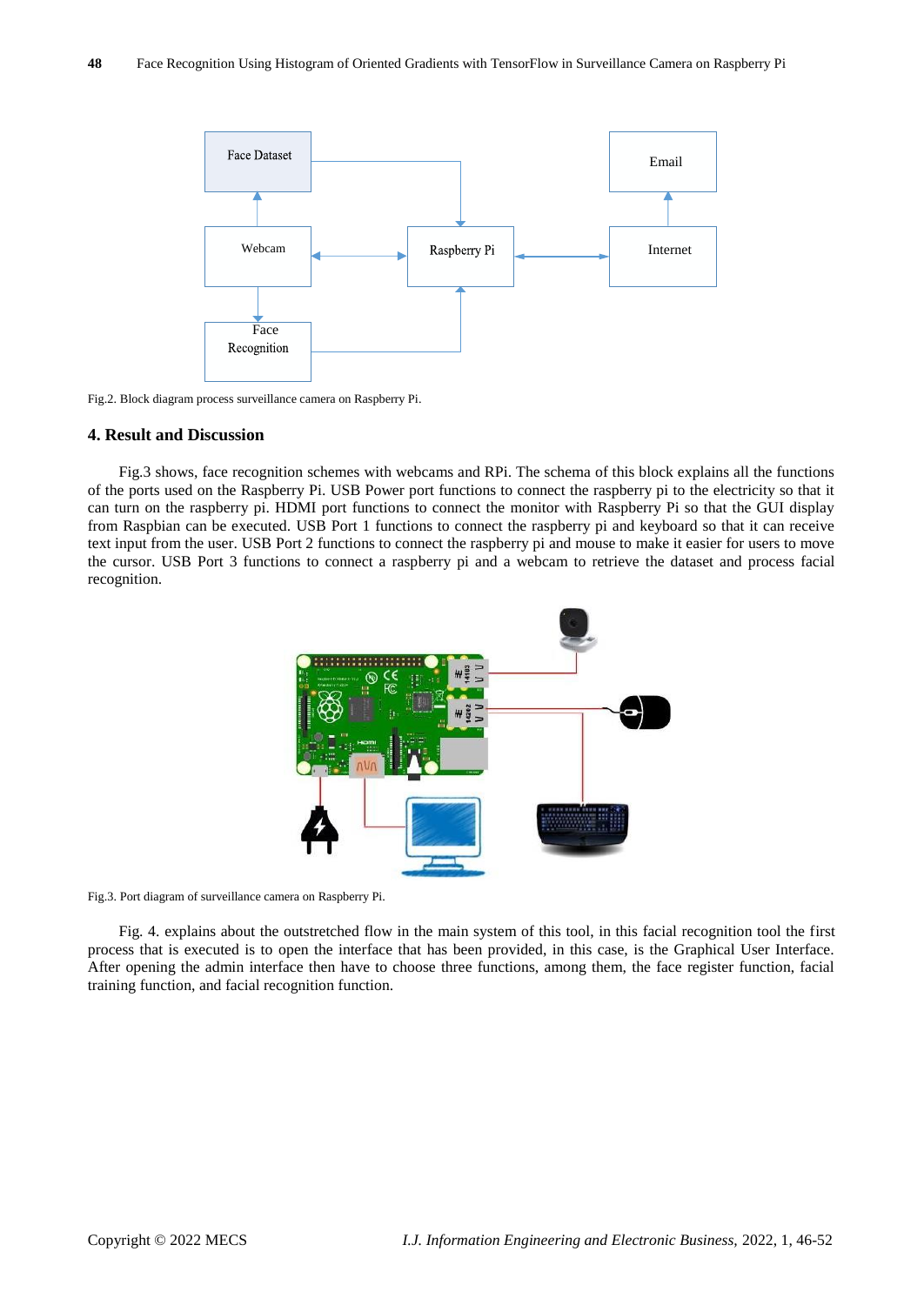

Fig.2. Block diagram process surveillance camera on Raspberry Pi.

#### **4. Result and Discussion**

Fig.3 shows, face recognition schemes with webcams and RPi. The schema of this block explains all the functions of the ports used on the Raspberry Pi. USB Power port functions to connect the raspberry pi to the electricity so that it can turn on the raspberry pi. HDMI port functions to connect the monitor with Raspberry Pi so that the GUI display from Raspbian can be executed. USB Port 1 functions to connect the raspberry pi and keyboard so that it can receive text input from the user. USB Port 2 functions to connect the raspberry pi and mouse to make it easier for users to move the cursor. USB Port 3 functions to connect a raspberry pi and a webcam to retrieve the dataset and process facial recognition.



Fig.3. Port diagram of surveillance camera on Raspberry Pi.

Fig. 4. explains about the outstretched flow in the main system of this tool, in this facial recognition tool the first process that is executed is to open the interface that has been provided, in this case, is the Graphical User Interface. After opening the admin interface then have to choose three functions, among them, the face register function, facial training function, and facial recognition function.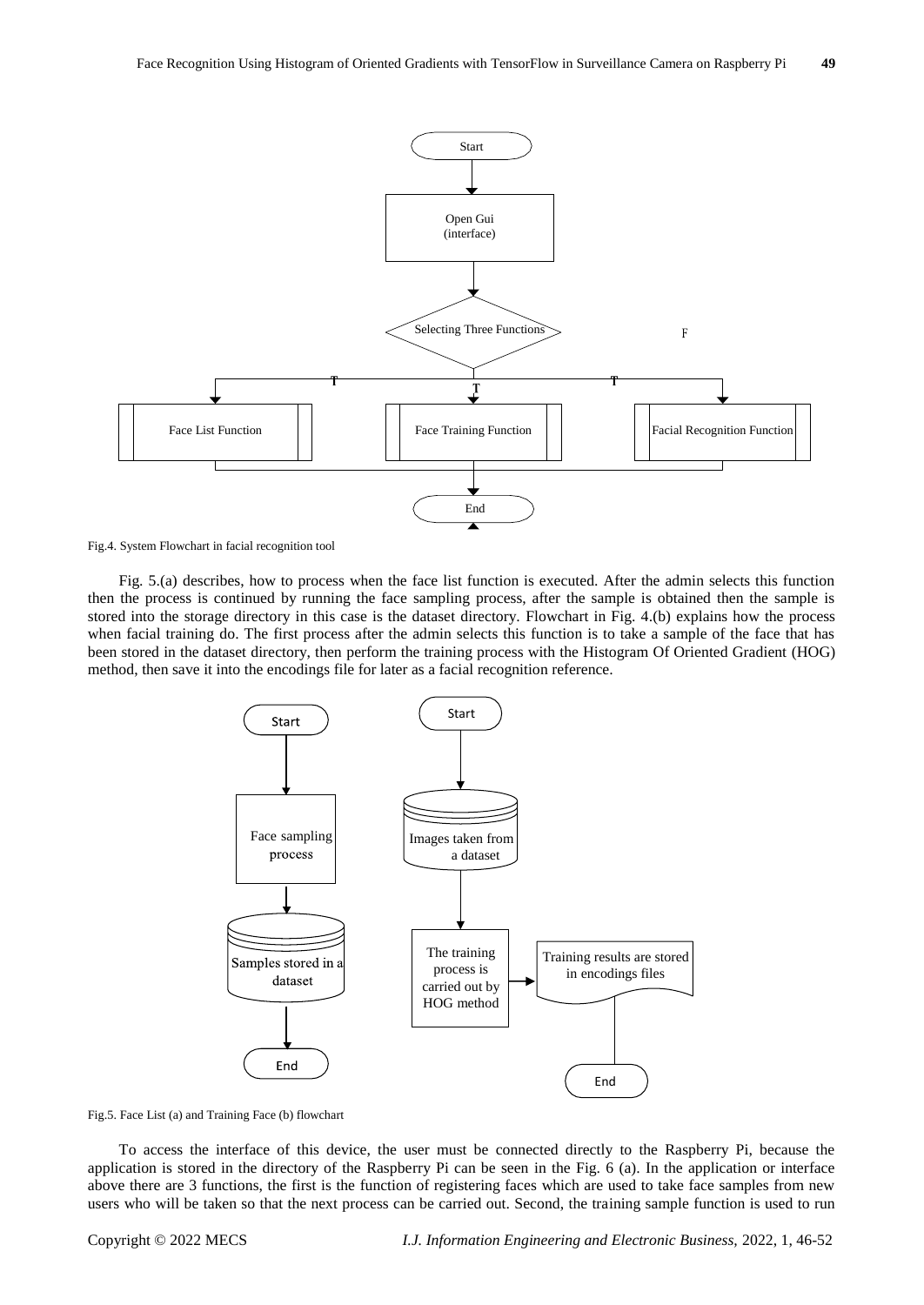

Fig.4. System Flowchart in facial recognition tool

Fig. 5.(a) describes, how to process when the face list function is executed. After the admin selects this function then the process is continued by running the face sampling process, after the sample is obtained then the sample is stored into the storage directory in this case is the dataset directory. Flowchart in Fig. 4.(b) explains how the process when facial training do. The first process after the admin selects this function is to take a sample of the face that has been stored in the dataset directory, then perform the training process with the Histogram Of Oriented Gradient (HOG) method, then save it into the encodings file for later as a facial recognition reference.





To access the interface of this device, the user must be connected directly to the Raspberry Pi, because the application is stored in the directory of the Raspberry Pi can be seen in the Fig. 6 (a). In the application or interface above there are 3 functions, the first is the function of registering faces which are used to take face samples from new users who will be taken so that the next process can be carried out. Second, the training sample function is used to run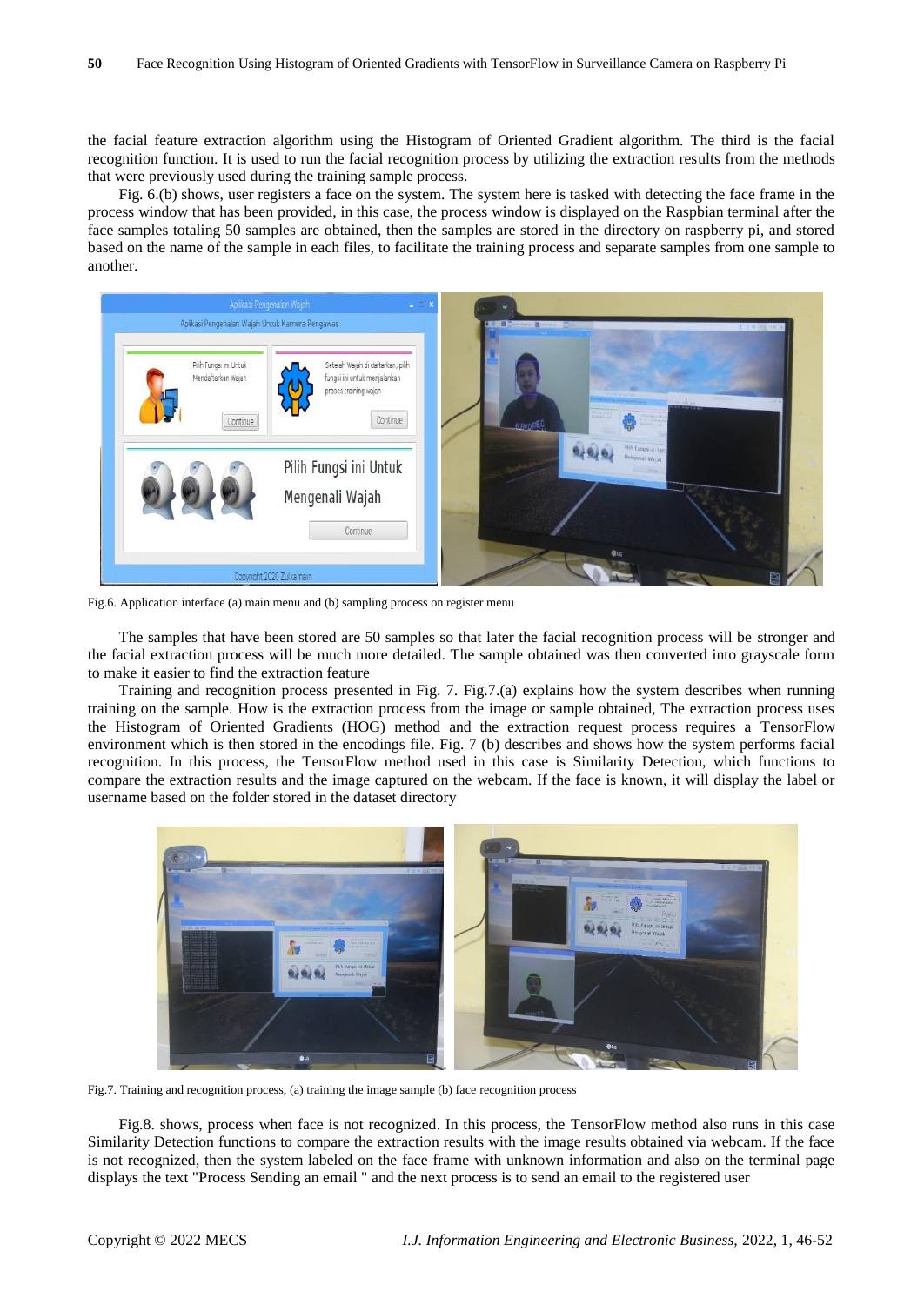the facial feature extraction algorithm using the Histogram of Oriented Gradient algorithm. The third is the facial recognition function. It is used to run the facial recognition process by utilizing the extraction results from the methods that were previously used during the training sample process.

Fig. 6.(b) shows, user registers a face on the system. The system here is tasked with detecting the face frame in the process window that has been provided, in this case, the process window is displayed on the Raspbian terminal after the face samples totaling 50 samples are obtained, then the samples are stored in the directory on raspberry pi, and stored based on the name of the sample in each files, to facilitate the training process and separate samples from one sample to another.



Fig.6. Application interface (a) main menu and (b) sampling process on register menu

The samples that have been stored are 50 samples so that later the facial recognition process will be stronger and the facial extraction process will be much more detailed. The sample obtained was then converted into grayscale form to make it easier to find the extraction feature

Training and recognition process presented in Fig. 7. Fig.7.(a) explains how the system describes when running training on the sample. How is the extraction process from the image or sample obtained, The extraction process uses the Histogram of Oriented Gradients (HOG) method and the extraction request process requires a TensorFlow environment which is then stored in the encodings file. Fig. 7 (b) describes and shows how the system performs facial recognition. In this process, the TensorFlow method used in this case is Similarity Detection, which functions to compare the extraction results and the image captured on the webcam. If the face is known, it will display the label or username based on the folder stored in the dataset directory



Fig.7. Training and recognition process, (a) training the image sample (b) face recognition process

Fig.8. shows, process when face is not recognized. In this process, the TensorFlow method also runs in this case Similarity Detection functions to compare the extraction results with the image results obtained via webcam. If the face is not recognized, then the system labeled on the face frame with unknown information and also on the terminal page displays the text "Process Sending an email " and the next process is to send an email to the registered user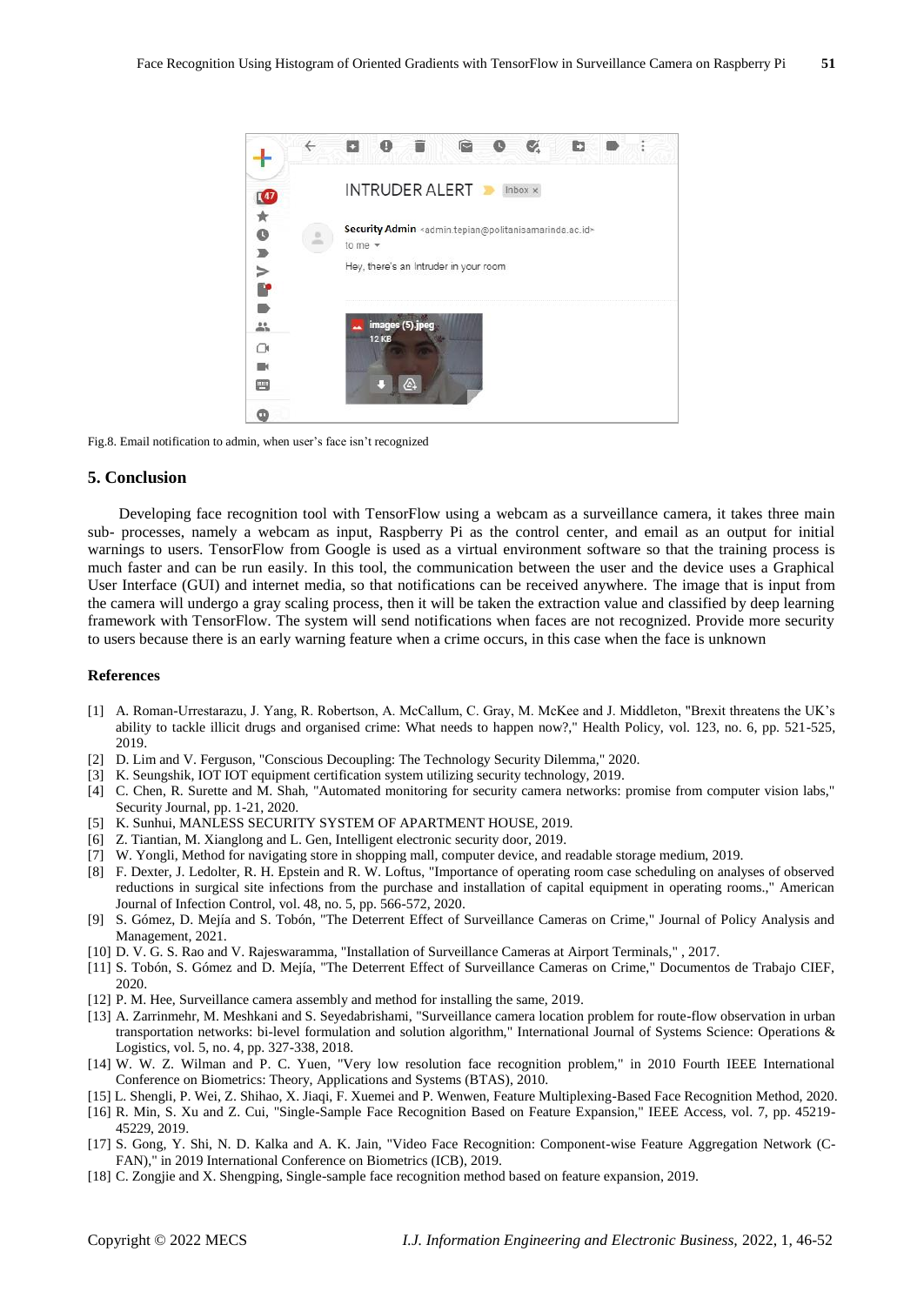

Fig.8. Email notification to admin, when user's face isn't recognized

#### **5. Conclusion**

Developing face recognition tool with TensorFlow using a webcam as a surveillance camera, it takes three main sub- processes, namely a webcam as input, Raspberry Pi as the control center, and email as an output for initial warnings to users. TensorFlow from Google is used as a virtual environment software so that the training process is much faster and can be run easily. In this tool, the communication between the user and the device uses a Graphical User Interface (GUI) and internet media, so that notifications can be received anywhere. The image that is input from the camera will undergo a gray scaling process, then it will be taken the extraction value and classified by deep learning framework with TensorFlow. The system will send notifications when faces are not recognized. Provide more security to users because there is an early warning feature when a crime occurs, in this case when the face is unknown

### **References**

- [1] A. Roman-Urrestarazu, J. Yang, R. Robertson, A. McCallum, C. Gray, M. McKee and J. Middleton, "Brexit threatens the UK's ability to tackle illicit drugs and organised crime: What needs to happen now?," Health Policy, vol. 123, no. 6, pp. 521-525, 2019.
- [2] D. Lim and V. Ferguson, "Conscious Decoupling: The Technology Security Dilemma," 2020.
- [3] K. Seungshik, IOT IOT equipment certification system utilizing security technology, 2019.
- [4] C. Chen, R. Surette and M. Shah, "Automated monitoring for security camera networks: promise from computer vision labs," Security Journal, pp. 1-21, 2020.
- [5] K. Sunhui, MANLESS SECURITY SYSTEM OF APARTMENT HOUSE, 2019.
- [6] Z. Tiantian, M. Xianglong and L. Gen, Intelligent electronic security door, 2019.
- [7] W. Yongli, Method for navigating store in shopping mall, computer device, and readable storage medium, 2019.
- [8] F. Dexter, J. Ledolter, R. H. Epstein and R. W. Loftus, "Importance of operating room case scheduling on analyses of observed reductions in surgical site infections from the purchase and installation of capital equipment in operating rooms.," American Journal of Infection Control, vol. 48, no. 5, pp. 566-572, 2020.
- [9] S. Gómez, D. Mejía and S. Tobón, "The Deterrent Effect of Surveillance Cameras on Crime," Journal of Policy Analysis and Management, 2021.
- [10] D. V. G. S. Rao and V. Rajeswaramma, "Installation of Surveillance Cameras at Airport Terminals," , 2017.
- [11] S. Tobón, S. Gómez and D. Mejía, "The Deterrent Effect of Surveillance Cameras on Crime," Documentos de Trabajo CIEF, 2020.
- [12] P. M. Hee, Surveillance camera assembly and method for installing the same, 2019.
- [13] A. Zarrinmehr, M. Meshkani and S. Seyedabrishami, "Surveillance camera location problem for route-flow observation in urban transportation networks: bi-level formulation and solution algorithm," International Journal of Systems Science: Operations & Logistics, vol. 5, no. 4, pp. 327-338, 2018.
- [14] W. W. Z. Wilman and P. C. Yuen, "Very low resolution face recognition problem," in 2010 Fourth IEEE International Conference on Biometrics: Theory, Applications and Systems (BTAS), 2010.
- [15] L. Shengli, P. Wei, Z. Shihao, X. Jiaqi, F. Xuemei and P. Wenwen, Feature Multiplexing-Based Face Recognition Method, 2020.
- [16] R. Min, S. Xu and Z. Cui, "Single-Sample Face Recognition Based on Feature Expansion," IEEE Access, vol. 7, pp. 45219- 45229, 2019.
- [17] S. Gong, Y. Shi, N. D. Kalka and A. K. Jain, "Video Face Recognition: Component-wise Feature Aggregation Network (C-FAN)," in 2019 International Conference on Biometrics (ICB), 2019.
- [18] C. Zongjie and X. Shengping, Single-sample face recognition method based on feature expansion, 2019.